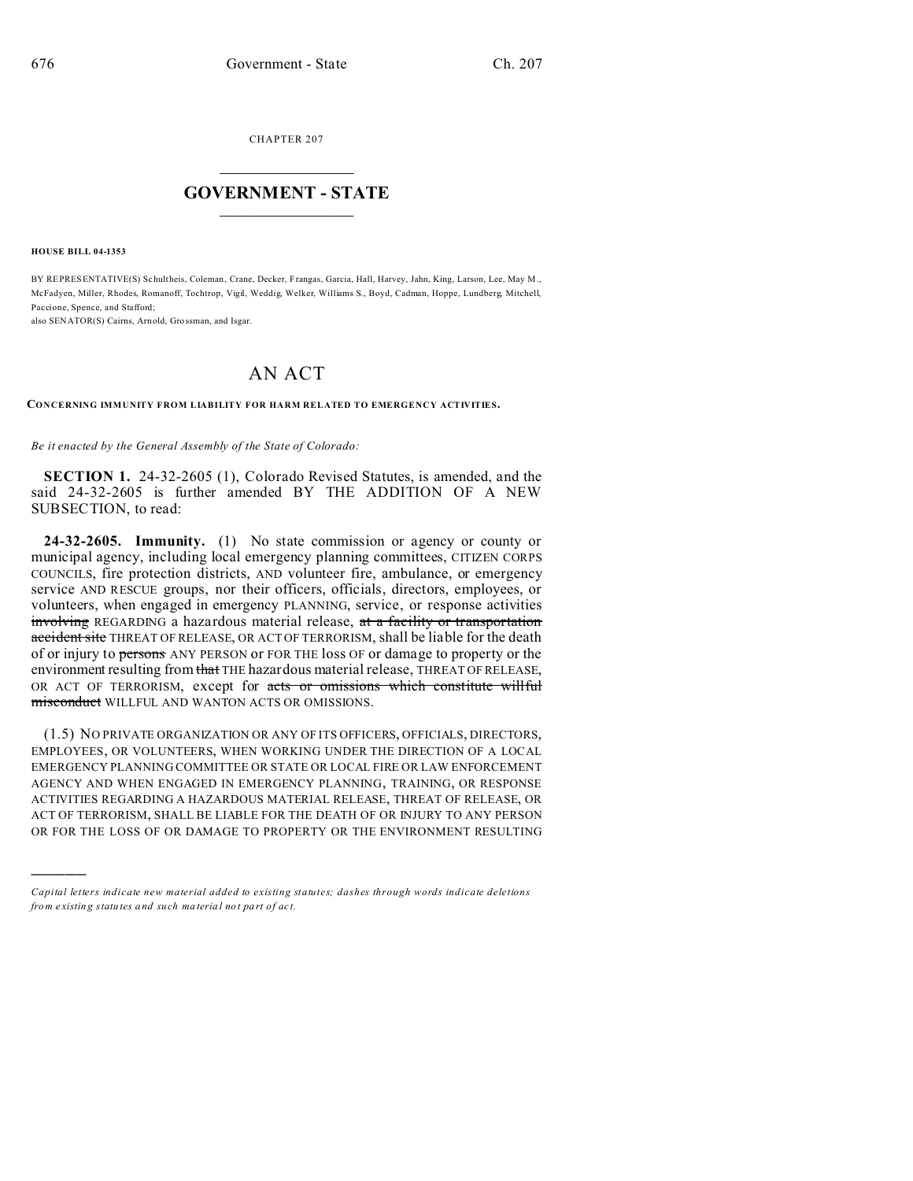CHAPTER 207  $\overline{\phantom{a}}$  , where  $\overline{\phantom{a}}$ 

## **GOVERNMENT - STATE**  $\_$   $\_$

**HOUSE BILL 04-1353**

)))))

BY REPRESENTATIVE(S) Schultheis, Coleman, Crane, Decker, Frangas, Garcia, Hall, Harvey, Jahn, King, Larson, Lee, May M., McFadyen, Miller, Rhodes, Romanoff, Tochtrop, Vigil, Weddig, Welker, Williams S., Boyd, Cadman, Hoppe, Lundberg, Mitchell, Paccione, Spence, and Stafford;

also SENATOR(S) Cairns, Arnold, Gro ssman, and Isgar.

## AN ACT

**CONCERNING IMMUNITY FROM LIABILITY FOR HARM RELATED TO EMERGENCY ACTIVITIES.**

*Be it enacted by the General Assembly of the State of Colorado:*

**SECTION 1.** 24-32-2605 (1), Colorado Revised Statutes, is amended, and the said 24-32-2605 is further amended BY THE ADDITION OF A NEW SUBSECTION, to read:

**24-32-2605. Immunity.** (1) No state commission or agency or county or municipal agency, including local emergency planning committees, CITIZEN CORPS COUNCILS, fire protection districts, AND volunteer fire, ambulance, or emergency service AND RESCUE groups, nor their officers, officials, directors, employees, or volunteers, when engaged in emergency PLANNING, service, or response activities involving REGARDING a hazardous material release, at a facility or transportation accident site THREAT OF RELEASE, OR ACT OF TERRORISM, shall be liable for the death of or injury to persons ANY PERSON or FOR THE loss OF or damage to property or the environment resulting from that THE hazardous material release, THREAT OF RELEASE, OR ACT OF TERRORISM, except for acts or omissions which constitute willful misconduct WILLFUL AND WANTON ACTS OR OMISSIONS.

(1.5) NO PRIVATE ORGANIZATION OR ANY OF ITS OFFICERS, OFFICIALS, DIRECTORS, EMPLOYEES, OR VOLUNTEERS, WHEN WORKING UNDER THE DIRECTION OF A LOCAL EMERGENCY PLANNING COMMITTEE OR STATE OR LOCAL FIRE OR LAW ENFORCEMENT AGENCY AND WHEN ENGAGED IN EMERGENCY PLANNING, TRAINING, OR RESPONSE ACTIVITIES REGARDING A HAZARDOUS MATERIAL RELEASE, THREAT OF RELEASE, OR ACT OF TERRORISM, SHALL BE LIABLE FOR THE DEATH OF OR INJURY TO ANY PERSON OR FOR THE LOSS OF OR DAMAGE TO PROPERTY OR THE ENVIRONMENT RESULTING

*Capital letters indicate new material added to existing statutes; dashes through words indicate deletions from e xistin g statu tes a nd such ma teria l no t pa rt of ac t.*